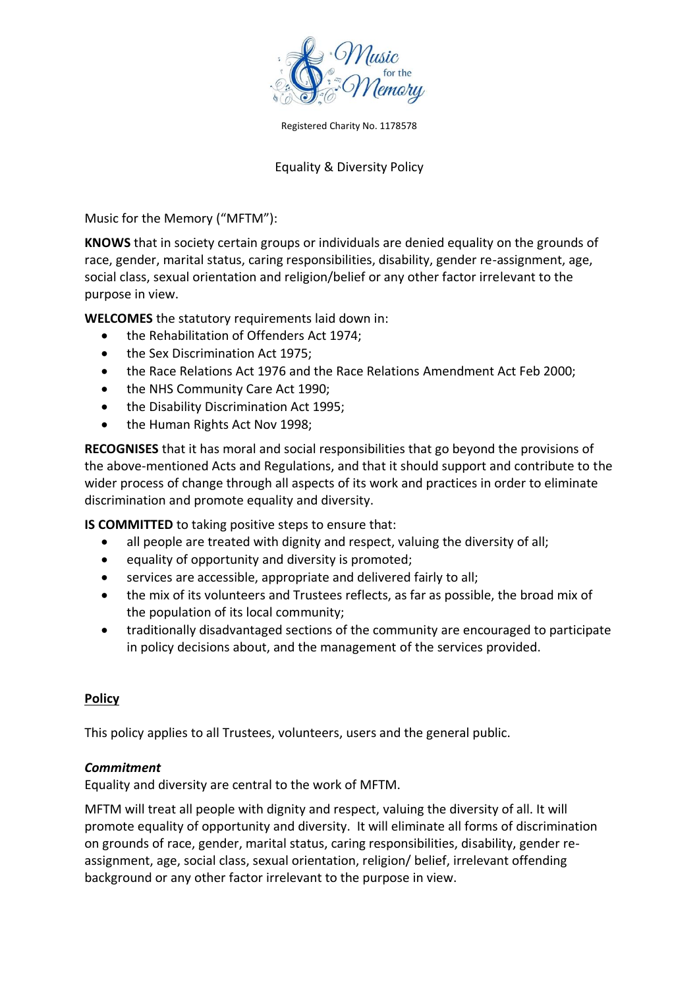

Registered Charity No. 1178578

## Equality & Diversity Policy

Music for the Memory ("MFTM"):

**KNOWS** that in society certain groups or individuals are denied equality on the grounds of race, gender, marital status, caring responsibilities, disability, gender re-assignment, age, social class, sexual orientation and religion/belief or any other factor irrelevant to the purpose in view.

**WELCOMES** the statutory requirements laid down in:

- the Rehabilitation of Offenders Act 1974;
- the Sex Discrimination Act 1975:
- the Race Relations Act 1976 and the Race Relations Amendment Act Feb 2000;
- the NHS Community Care Act 1990:
- the Disability Discrimination Act 1995;
- the Human Rights Act Nov 1998;

**RECOGNISES** that it has moral and social responsibilities that go beyond the provisions of the above-mentioned Acts and Regulations, and that it should support and contribute to the wider process of change through all aspects of its work and practices in order to eliminate discrimination and promote equality and diversity.

**IS COMMITTED** to taking positive steps to ensure that:

- all people are treated with dignity and respect, valuing the diversity of all;
- equality of opportunity and diversity is promoted;
- services are accessible, appropriate and delivered fairly to all;
- the mix of its volunteers and Trustees reflects, as far as possible, the broad mix of the population of its local community;
- traditionally disadvantaged sections of the community are encouraged to participate in policy decisions about, and the management of the services provided.

### **Policy**

This policy applies to all Trustees, volunteers, users and the general public.

### *Commitment*

Equality and diversity are central to the work of MFTM.

MFTM will treat all people with dignity and respect, valuing the diversity of all. It will promote equality of opportunity and diversity. It will eliminate all forms of discrimination on grounds of race, gender, marital status, caring responsibilities, disability, gender reassignment, age, social class, sexual orientation, religion/ belief, irrelevant offending background or any other factor irrelevant to the purpose in view.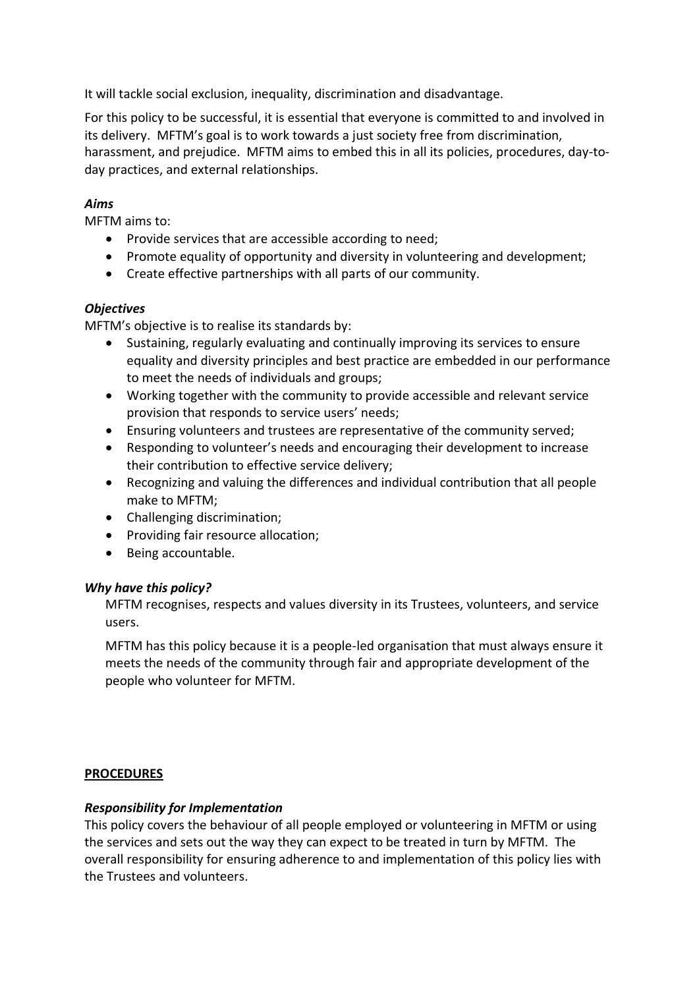It will tackle social exclusion, inequality, discrimination and disadvantage.

For this policy to be successful, it is essential that everyone is committed to and involved in its delivery. MFTM's goal is to work towards a just society free from discrimination, harassment, and prejudice. MFTM aims to embed this in all its policies, procedures, day-today practices, and external relationships.

# *Aims*

MFTM aims to:

- Provide services that are accessible according to need;
- Promote equality of opportunity and diversity in volunteering and development;
- Create effective partnerships with all parts of our community.

### *Objectives*

MFTM's objective is to realise its standards by:

- Sustaining, regularly evaluating and continually improving its services to ensure equality and diversity principles and best practice are embedded in our performance to meet the needs of individuals and groups;
- Working together with the community to provide accessible and relevant service provision that responds to service users' needs;
- Ensuring volunteers and trustees are representative of the community served;
- Responding to volunteer's needs and encouraging their development to increase their contribution to effective service delivery;
- Recognizing and valuing the differences and individual contribution that all people make to MFTM;
- Challenging discrimination;
- Providing fair resource allocation;
- Being accountable.

### *Why have this policy?*

MFTM recognises, respects and values diversity in its Trustees, volunteers, and service users.

MFTM has this policy because it is a people-led organisation that must always ensure it meets the needs of the community through fair and appropriate development of the people who volunteer for MFTM.

### **PROCEDURES**

### *Responsibility for Implementation*

This policy covers the behaviour of all people employed or volunteering in MFTM or using the services and sets out the way they can expect to be treated in turn by MFTM. The overall responsibility for ensuring adherence to and implementation of this policy lies with the Trustees and volunteers.